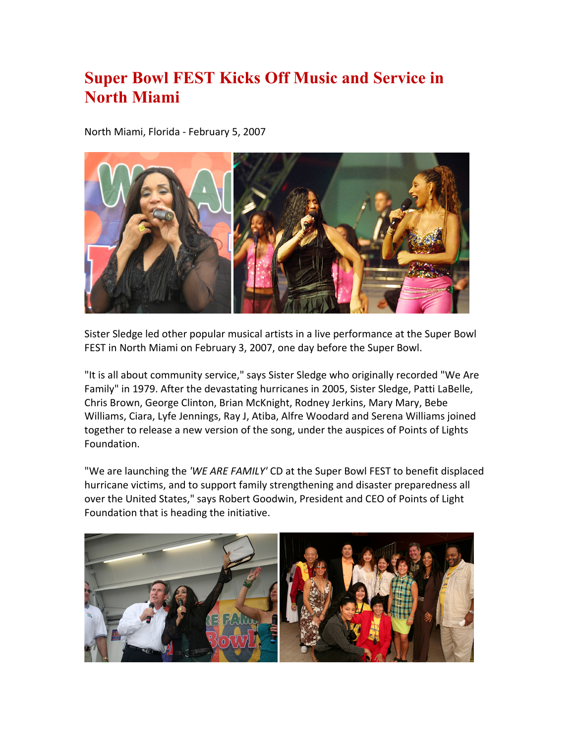## **Super Bowl FEST Kicks Off Music and Service in North Miami**

North Miami, Florida - February 5, 2007



Sister Sledge led other popular musical artists in a live performance at the Super Bowl FEST in North Miami on February 3, 2007, one day before the Super Bowl.

"It is all about community service," says Sister Sledge who originally recorded "We Are Family" in 1979. After the devastating hurricanes in 2005, Sister Sledge, Patti LaBelle, Chris Brown, George Clinton, Brian McKnight, Rodney Jerkins, Mary Mary, Bebe Williams, Ciara, Lyfe Jennings, Ray J, Atiba, Alfre Woodard and Serena Williams joined together to release a new version of the song, under the auspices of Points of Lights Foundation.

"We are launching the *'WE ARE FAMILY'* CD at the Super Bowl FEST to benefit displaced hurricane victims, and to support family strengthening and disaster preparedness all over the United States," says Robert Goodwin, President and CEO of Points of Light Foundation that is heading the initiative.